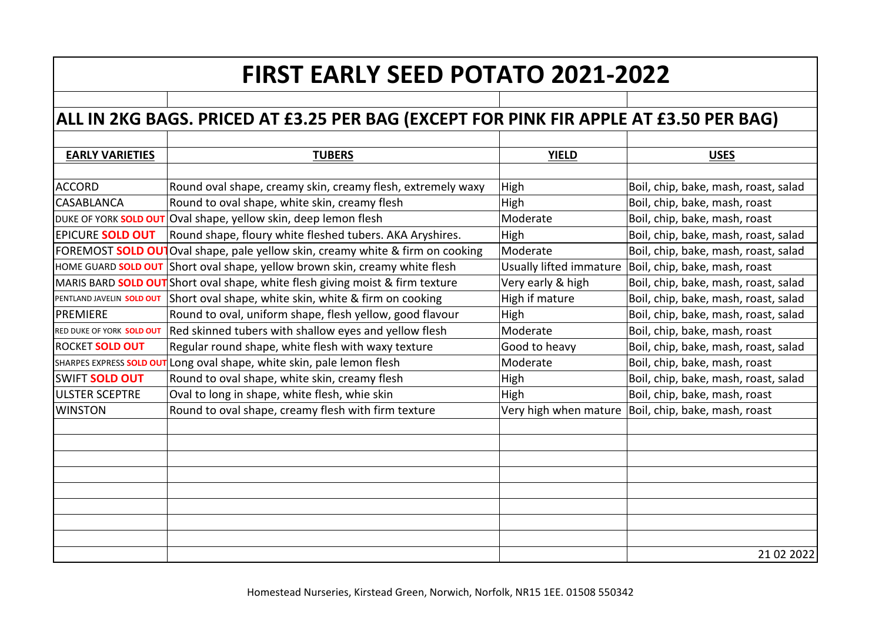## **FIRST EARLY SEED POTATO 2021-2022**

## **ALL IN 2KG BAGS. PRICED AT £3.25 PER BAG (EXCEPT FOR PINK FIR APPLE AT £3.50 PER BAG)**

| <b>TUBERS</b>                                                                            | <b>YIELD</b>            | <b>USES</b>                                           |
|------------------------------------------------------------------------------------------|-------------------------|-------------------------------------------------------|
|                                                                                          |                         |                                                       |
| Round oval shape, creamy skin, creamy flesh, extremely waxy                              | High                    | Boil, chip, bake, mash, roast, salad                  |
| Round to oval shape, white skin, creamy flesh                                            | High                    | Boil, chip, bake, mash, roast                         |
| DUKE OF YORK SOLD OUT Oval shape, yellow skin, deep lemon flesh                          | Moderate                | Boil, chip, bake, mash, roast                         |
| Round shape, floury white fleshed tubers. AKA Aryshires.                                 | High                    | Boil, chip, bake, mash, roast, salad                  |
| Oval shape, pale yellow skin, creamy white & firm on cooking<br><b>FOREMOST SOLD OUT</b> | Moderate                | Boil, chip, bake, mash, roast, salad                  |
| Short oval shape, yellow brown skin, creamy white flesh                                  | Usually lifted immature | Boil, chip, bake, mash, roast                         |
| MARIS BARD SOLD OUT Short oval shape, white flesh giving moist & firm texture            | Very early & high       | Boil, chip, bake, mash, roast, salad                  |
| Short oval shape, white skin, white & firm on cooking                                    | High if mature          | Boil, chip, bake, mash, roast, salad                  |
| Round to oval, uniform shape, flesh yellow, good flavour                                 | High                    | Boil, chip, bake, mash, roast, salad                  |
| Red skinned tubers with shallow eyes and yellow flesh                                    | Moderate                | Boil, chip, bake, mash, roast                         |
| Regular round shape, white flesh with waxy texture                                       | Good to heavy           | Boil, chip, bake, mash, roast, salad                  |
| Long oval shape, white skin, pale lemon flesh<br>SHARPES EXPRESS SOLD OUT                | Moderate                | Boil, chip, bake, mash, roast                         |
| Round to oval shape, white skin, creamy flesh                                            | High                    | Boil, chip, bake, mash, roast, salad                  |
| Oval to long in shape, white flesh, whie skin                                            | High                    | Boil, chip, bake, mash, roast                         |
| Round to oval shape, creamy flesh with firm texture                                      |                         | Very high when mature   Boil, chip, bake, mash, roast |
|                                                                                          |                         |                                                       |
|                                                                                          |                         |                                                       |
|                                                                                          |                         |                                                       |
|                                                                                          |                         |                                                       |
|                                                                                          |                         |                                                       |
|                                                                                          |                         |                                                       |
|                                                                                          |                         |                                                       |
|                                                                                          |                         |                                                       |
|                                                                                          |                         | 21 02 2022                                            |
|                                                                                          |                         |                                                       |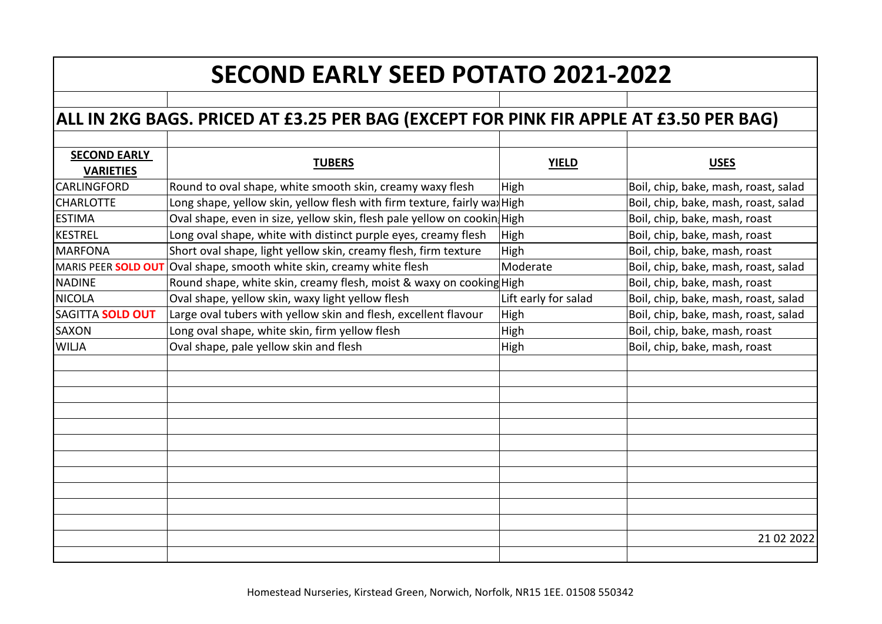## **SECOND EARLY SEED POTATO 2021-2022**

## **ALL IN 2KG BAGS. PRICED AT £3.25 PER BAG (EXCEPT FOR PINK FIR APPLE AT £3.50 PER BAG)**

| <b>SECOND EARLY</b> | <b>TUBERS</b>                                                                | <b>YIELD</b>         | <b>USES</b>                          |
|---------------------|------------------------------------------------------------------------------|----------------------|--------------------------------------|
| <b>VARIETIES</b>    |                                                                              |                      |                                      |
| <b>CARLINGFORD</b>  | Round to oval shape, white smooth skin, creamy waxy flesh                    | High                 | Boil, chip, bake, mash, roast, salad |
| <b>CHARLOTTE</b>    | Long shape, yellow skin, yellow flesh with firm texture, fairly wax High     |                      | Boil, chip, bake, mash, roast, salad |
| <b>ESTIMA</b>       | Oval shape, even in size, yellow skin, flesh pale yellow on cookin High      |                      | Boil, chip, bake, mash, roast        |
| <b>KESTREL</b>      | Long oval shape, white with distinct purple eyes, creamy flesh               | High                 | Boil, chip, bake, mash, roast        |
| <b>MARFONA</b>      | Short oval shape, light yellow skin, creamy flesh, firm texture              | High                 | Boil, chip, bake, mash, roast        |
|                     | MARIS PEER <b>SOLD OUT</b> Oval shape, smooth white skin, creamy white flesh | Moderate             | Boil, chip, bake, mash, roast, salad |
| <b>NADINE</b>       | Round shape, white skin, creamy flesh, moist & waxy on cooking High          |                      | Boil, chip, bake, mash, roast        |
| <b>NICOLA</b>       | Oval shape, yellow skin, waxy light yellow flesh                             | Lift early for salad | Boil, chip, bake, mash, roast, salad |
| SAGITTA SOLD OUT    | Large oval tubers with yellow skin and flesh, excellent flavour              | <b>High</b>          | Boil, chip, bake, mash, roast, salad |
| <b>SAXON</b>        | Long oval shape, white skin, firm yellow flesh                               | High                 | Boil, chip, bake, mash, roast        |
| <b>WILJA</b>        | Oval shape, pale yellow skin and flesh                                       | <b>High</b>          | Boil, chip, bake, mash, roast        |
|                     |                                                                              |                      |                                      |
|                     |                                                                              |                      |                                      |
|                     |                                                                              |                      |                                      |
|                     |                                                                              |                      |                                      |
|                     |                                                                              |                      |                                      |
|                     |                                                                              |                      |                                      |
|                     |                                                                              |                      |                                      |
|                     |                                                                              |                      |                                      |
|                     |                                                                              |                      |                                      |
|                     |                                                                              |                      |                                      |
|                     |                                                                              |                      |                                      |
|                     |                                                                              |                      | 21 02 2022                           |
|                     |                                                                              |                      |                                      |